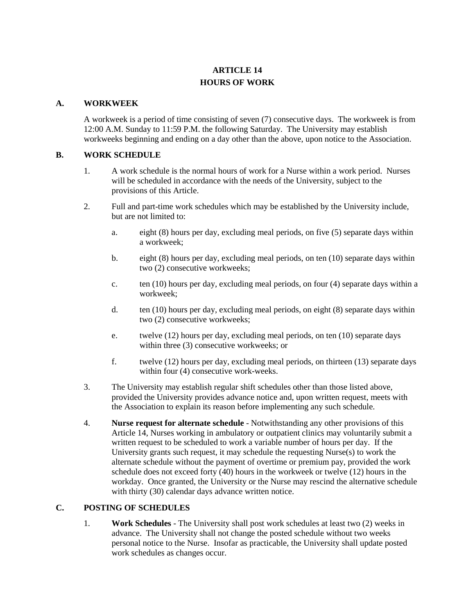# **ARTICLE 14 HOURS OF WORK**

#### **A. WORKWEEK**

A workweek is a period of time consisting of seven (7) consecutive days. The workweek is from 12:00 A.M. Sunday to 11:59 P.M. the following Saturday. The University may establish workweeks beginning and ending on a day other than the above, upon notice to the Association.

#### **B. WORK SCHEDULE**

- 1. A work schedule is the normal hours of work for a Nurse within a work period. Nurses will be scheduled in accordance with the needs of the University, subject to the provisions of this Article.
- 2. Full and part-time work schedules which may be established by the University include, but are not limited to:
	- a. eight (8) hours per day, excluding meal periods, on five (5) separate days within a workweek;
	- b. eight (8) hours per day, excluding meal periods, on ten (10) separate days within two (2) consecutive workweeks;
	- c. ten  $(10)$  hours per day, excluding meal periods, on four  $(4)$  separate days within a workweek;
	- d. ten (10) hours per day, excluding meal periods, on eight (8) separate days within two (2) consecutive workweeks;
	- e. twelve (12) hours per day, excluding meal periods, on ten (10) separate days within three (3) consecutive workweeks; or
	- f. twelve (12) hours per day, excluding meal periods, on thirteen (13) separate days within four (4) consecutive work-weeks.
- 3. The University may establish regular shift schedules other than those listed above, provided the University provides advance notice and, upon written request, meets with the Association to explain its reason before implementing any such schedule.
- 4. **Nurse request for alternate schedule** Notwithstanding any other provisions of this Article 14, Nurses working in ambulatory or outpatient clinics may voluntarily submit a written request to be scheduled to work a variable number of hours per day. If the University grants such request, it may schedule the requesting Nurse(s) to work the alternate schedule without the payment of overtime or premium pay, provided the work schedule does not exceed forty (40) hours in the workweek or twelve (12) hours in the workday. Once granted, the University or the Nurse may rescind the alternative schedule with thirty (30) calendar days advance written notice.

# **C. POSTING OF SCHEDULES**

1. **Work Schedules** - The University shall post work schedules at least two (2) weeks in advance. The University shall not change the posted schedule without two weeks personal notice to the Nurse. Insofar as practicable, the University shall update posted work schedules as changes occur.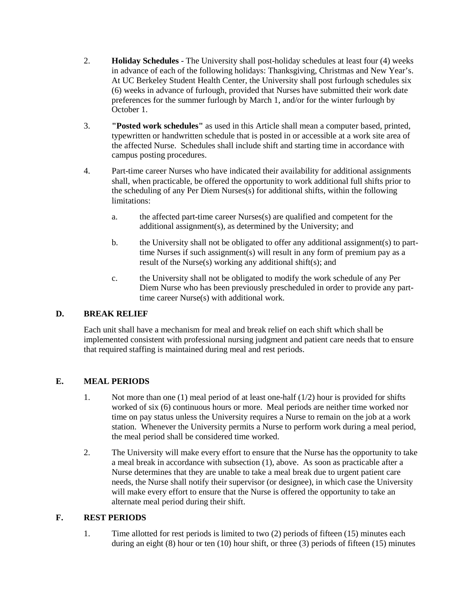- 2. **Holiday Schedules** The University shall post-holiday schedules at least four (4) weeks in advance of each of the following holidays: Thanksgiving, Christmas and New Year's. At UC Berkeley Student Health Center, the University shall post furlough schedules six (6) weeks in advance of furlough, provided that Nurses have submitted their work date preferences for the summer furlough by March 1, and/or for the winter furlough by October 1.
- 3. **"Posted work schedules"** as used in this Article shall mean a computer based, printed, typewritten or handwritten schedule that is posted in or accessible at a work site area of the affected Nurse. Schedules shall include shift and starting time in accordance with campus posting procedures.
- 4. Part-time career Nurses who have indicated their availability for additional assignments shall, when practicable, be offered the opportunity to work additional full shifts prior to the scheduling of any Per Diem Nurses(s) for additional shifts, within the following limitations:
	- a. the affected part-time career Nurses(s) are qualified and competent for the additional assignment(s), as determined by the University; and
	- b. the University shall not be obligated to offer any additional assignment(s) to parttime Nurses if such assignment(s) will result in any form of premium pay as a result of the Nurse(s) working any additional shift(s); and
	- c. the University shall not be obligated to modify the work schedule of any Per Diem Nurse who has been previously prescheduled in order to provide any parttime career Nurse(s) with additional work.

### **D. BREAK RELIEF**

Each unit shall have a mechanism for meal and break relief on each shift which shall be implemented consistent with professional nursing judgment and patient care needs that to ensure that required staffing is maintained during meal and rest periods.

# **E. MEAL PERIODS**

- 1. Not more than one (1) meal period of at least one-half  $(1/2)$  hour is provided for shifts worked of six (6) continuous hours or more. Meal periods are neither time worked nor time on pay status unless the University requires a Nurse to remain on the job at a work station. Whenever the University permits a Nurse to perform work during a meal period, the meal period shall be considered time worked.
- 2. The University will make every effort to ensure that the Nurse has the opportunity to take a meal break in accordance with subsection (1), above. As soon as practicable after a Nurse determines that they are unable to take a meal break due to urgent patient care needs, the Nurse shall notify their supervisor (or designee), in which case the University will make every effort to ensure that the Nurse is offered the opportunity to take an alternate meal period during their shift.

#### **F. REST PERIODS**

1. Time allotted for rest periods is limited to two (2) periods of fifteen (15) minutes each during an eight (8) hour or ten (10) hour shift, or three (3) periods of fifteen (15) minutes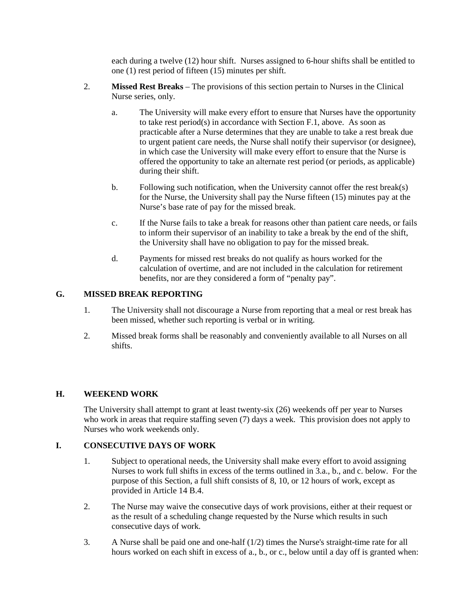each during a twelve (12) hour shift. Nurses assigned to 6-hour shifts shall be entitled to one (1) rest period of fifteen (15) minutes per shift.

- 2. **Missed Rest Breaks** The provisions of this section pertain to Nurses in the Clinical Nurse series, only.
	- a. The University will make every effort to ensure that Nurses have the opportunity to take rest period(s) in accordance with Section F.1, above. As soon as practicable after a Nurse determines that they are unable to take a rest break due to urgent patient care needs, the Nurse shall notify their supervisor (or designee), in which case the University will make every effort to ensure that the Nurse is offered the opportunity to take an alternate rest period (or periods, as applicable) during their shift.
	- b. Following such notification, when the University cannot offer the rest break(s) for the Nurse, the University shall pay the Nurse fifteen (15) minutes pay at the Nurse's base rate of pay for the missed break.
	- c. If the Nurse fails to take a break for reasons other than patient care needs, or fails to inform their supervisor of an inability to take a break by the end of the shift, the University shall have no obligation to pay for the missed break.
	- d. Payments for missed rest breaks do not qualify as hours worked for the calculation of overtime, and are not included in the calculation for retirement benefits, nor are they considered a form of "penalty pay".

## **G. MISSED BREAK REPORTING**

- 1. The University shall not discourage a Nurse from reporting that a meal or rest break has been missed, whether such reporting is verbal or in writing.
- 2. Missed break forms shall be reasonably and conveniently available to all Nurses on all shifts.

#### **H. WEEKEND WORK**

The University shall attempt to grant at least twenty-six (26) weekends off per year to Nurses who work in areas that require staffing seven (7) days a week. This provision does not apply to Nurses who work weekends only.

### **I. CONSECUTIVE DAYS OF WORK**

- 1. Subject to operational needs, the University shall make every effort to avoid assigning Nurses to work full shifts in excess of the terms outlined in 3.a., b., and c. below. For the purpose of this Section, a full shift consists of 8, 10, or 12 hours of work, except as provided in Article 14 B.4.
- 2. The Nurse may waive the consecutive days of work provisions, either at their request or as the result of a scheduling change requested by the Nurse which results in such consecutive days of work.
- 3. A Nurse shall be paid one and one-half (1/2) times the Nurse's straight-time rate for all hours worked on each shift in excess of a., b., or c., below until a day off is granted when: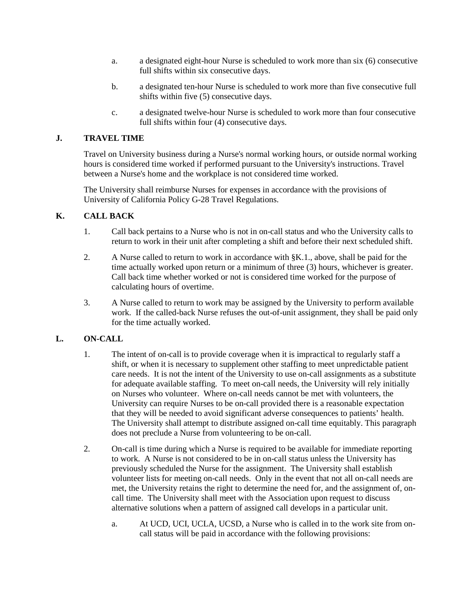- a. a designated eight-hour Nurse is scheduled to work more than six (6) consecutive full shifts within six consecutive days.
- b. a designated ten-hour Nurse is scheduled to work more than five consecutive full shifts within five (5) consecutive days.
- c. a designated twelve-hour Nurse is scheduled to work more than four consecutive full shifts within four (4) consecutive days.

# **J. TRAVEL TIME**

Travel on University business during a Nurse's normal working hours, or outside normal working hours is considered time worked if performed pursuant to the University's instructions. Travel between a Nurse's home and the workplace is not considered time worked.

The University shall reimburse Nurses for expenses in accordance with the provisions of University of California Policy G-28 Travel Regulations.

# **K. CALL BACK**

- 1. Call back pertains to a Nurse who is not in on-call status and who the University calls to return to work in their unit after completing a shift and before their next scheduled shift.
- 2. A Nurse called to return to work in accordance with §K.1., above, shall be paid for the time actually worked upon return or a minimum of three (3) hours, whichever is greater. Call back time whether worked or not is considered time worked for the purpose of calculating hours of overtime.
- 3. A Nurse called to return to work may be assigned by the University to perform available work. If the called-back Nurse refuses the out-of-unit assignment, they shall be paid only for the time actually worked.

### **L. ON-CALL**

- 1. The intent of on-call is to provide coverage when it is impractical to regularly staff a shift, or when it is necessary to supplement other staffing to meet unpredictable patient care needs. It is not the intent of the University to use on-call assignments as a substitute for adequate available staffing. To meet on-call needs, the University will rely initially on Nurses who volunteer. Where on-call needs cannot be met with volunteers, the University can require Nurses to be on-call provided there is a reasonable expectation that they will be needed to avoid significant adverse consequences to patients' health. The University shall attempt to distribute assigned on-call time equitably. This paragraph does not preclude a Nurse from volunteering to be on-call.
- 2. On-call is time during which a Nurse is required to be available for immediate reporting to work. A Nurse is not considered to be in on-call status unless the University has previously scheduled the Nurse for the assignment. The University shall establish volunteer lists for meeting on-call needs. Only in the event that not all on-call needs are met, the University retains the right to determine the need for, and the assignment of, oncall time. The University shall meet with the Association upon request to discuss alternative solutions when a pattern of assigned call develops in a particular unit.
	- a. At UCD, UCI, UCLA, UCSD, a Nurse who is called in to the work site from oncall status will be paid in accordance with the following provisions: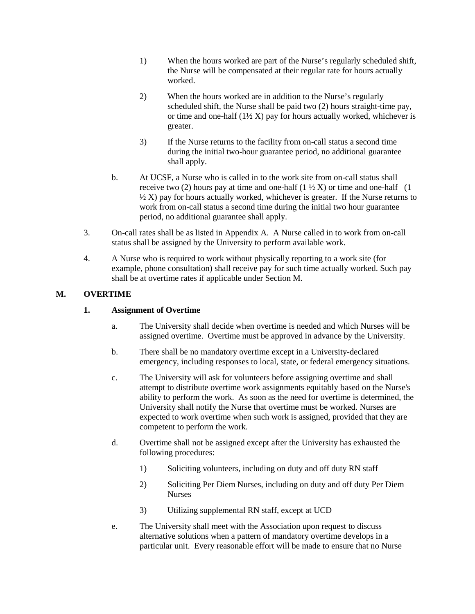- 1) When the hours worked are part of the Nurse's regularly scheduled shift, the Nurse will be compensated at their regular rate for hours actually worked.
- 2) When the hours worked are in addition to the Nurse's regularly scheduled shift, the Nurse shall be paid two (2) hours straight-time pay, or time and one-half  $(1\frac{1}{2}X)$  pay for hours actually worked, whichever is greater.
- 3) If the Nurse returns to the facility from on-call status a second time during the initial two-hour guarantee period, no additional guarantee shall apply.
- b. At UCSF, a Nurse who is called in to the work site from on-call status shall receive two (2) hours pay at time and one-half  $(1 \frac{1}{2} X)$  or time and one-half (1)  $\frac{1}{2}$  X) pay for hours actually worked, whichever is greater. If the Nurse returns to work from on-call status a second time during the initial two hour guarantee period, no additional guarantee shall apply.
- 3. On-call rates shall be as listed in Appendix A. A Nurse called in to work from on-call status shall be assigned by the University to perform available work.
- 4. A Nurse who is required to work without physically reporting to a work site (for example, phone consultation) shall receive pay for such time actually worked. Such pay shall be at overtime rates if applicable under Section M.

# **M. OVERTIME**

#### **1. Assignment of Overtime**

- a. The University shall decide when overtime is needed and which Nurses will be assigned overtime. Overtime must be approved in advance by the University.
- b. There shall be no mandatory overtime except in a University-declared emergency, including responses to local, state, or federal emergency situations.
- c. The University will ask for volunteers before assigning overtime and shall attempt to distribute overtime work assignments equitably based on the Nurse's ability to perform the work. As soon as the need for overtime is determined, the University shall notify the Nurse that overtime must be worked. Nurses are expected to work overtime when such work is assigned, provided that they are competent to perform the work.
- d. Overtime shall not be assigned except after the University has exhausted the following procedures:
	- 1) Soliciting volunteers, including on duty and off duty RN staff
	- 2) Soliciting Per Diem Nurses, including on duty and off duty Per Diem Nurses
	- 3) Utilizing supplemental RN staff, except at UCD
- e. The University shall meet with the Association upon request to discuss alternative solutions when a pattern of mandatory overtime develops in a particular unit. Every reasonable effort will be made to ensure that no Nurse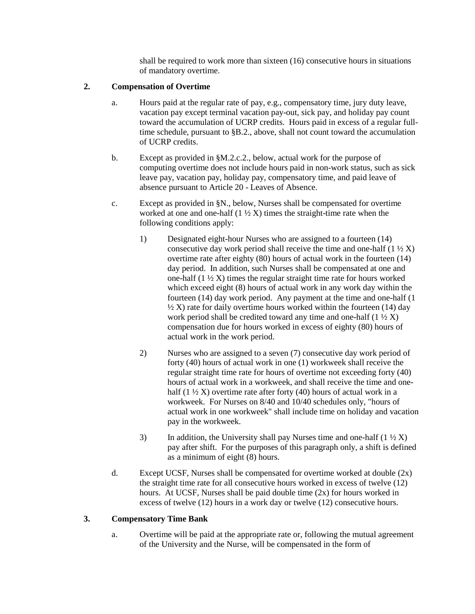shall be required to work more than sixteen (16) consecutive hours in situations of mandatory overtime.

#### **2. Compensation of Overtime**

- a. Hours paid at the regular rate of pay, e.g., compensatory time, jury duty leave, vacation pay except terminal vacation pay-out, sick pay, and holiday pay count toward the accumulation of UCRP credits. Hours paid in excess of a regular fulltime schedule, pursuant to §B.2., above, shall not count toward the accumulation of UCRP credits.
- b. Except as provided in §M.2.c.2., below, actual work for the purpose of computing overtime does not include hours paid in non-work status, such as sick leave pay, vacation pay, holiday pay, compensatory time, and paid leave of absence pursuant to Article 20 - Leaves of Absence.
- c. Except as provided in §N., below, Nurses shall be compensated for overtime worked at one and one-half  $(1 \frac{1}{2} X)$  times the straight-time rate when the following conditions apply:
	- 1) Designated eight-hour Nurses who are assigned to a fourteen (14) consecutive day work period shall receive the time and one-half  $(1 \frac{1}{2} X)$ overtime rate after eighty (80) hours of actual work in the fourteen (14) day period. In addition, such Nurses shall be compensated at one and one-half  $(1 \frac{1}{2} X)$  times the regular straight time rate for hours worked which exceed eight (8) hours of actual work in any work day within the fourteen (14) day work period. Any payment at the time and one-half (1  $\frac{1}{2}$  X) rate for daily overtime hours worked within the fourteen (14) day work period shall be credited toward any time and one-half  $(1 \frac{1}{2} X)$ compensation due for hours worked in excess of eighty (80) hours of actual work in the work period.
	- 2) Nurses who are assigned to a seven (7) consecutive day work period of forty (40) hours of actual work in one (1) workweek shall receive the regular straight time rate for hours of overtime not exceeding forty (40) hours of actual work in a workweek, and shall receive the time and onehalf  $(1 \frac{1}{2} X)$  overtime rate after forty (40) hours of actual work in a workweek. For Nurses on 8/40 and 10/40 schedules only, "hours of actual work in one workweek" shall include time on holiday and vacation pay in the workweek.
	- 3) In addition, the University shall pay Nurses time and one-half  $(1 \frac{1}{2} X)$ pay after shift. For the purposes of this paragraph only, a shift is defined as a minimum of eight (8) hours.
- d. Except UCSF, Nurses shall be compensated for overtime worked at double (2x) the straight time rate for all consecutive hours worked in excess of twelve (12) hours. At UCSF, Nurses shall be paid double time (2x) for hours worked in excess of twelve (12) hours in a work day or twelve (12) consecutive hours.

### **3. Compensatory Time Bank**

a. Overtime will be paid at the appropriate rate or, following the mutual agreement of the University and the Nurse, will be compensated in the form of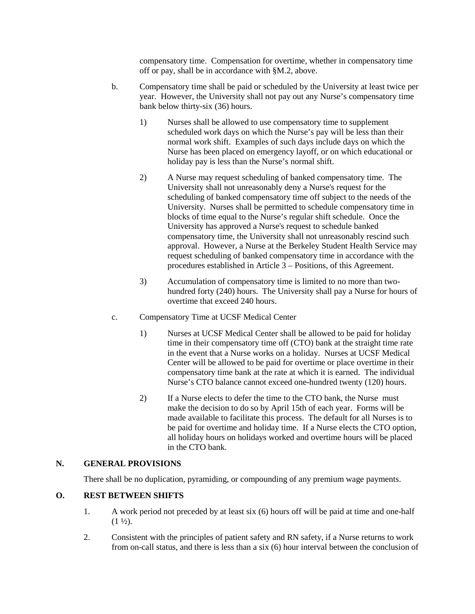compensatory time. Compensation for overtime, whether in compensatory time off or pay, shall be in accordance with §M.2, above.

- b. Compensatory time shall be paid or scheduled by the University at least twice per year. However, the University shall not pay out any Nurse's compensatory time bank below thirty-six (36) hours.
	- 1) Nurses shall be allowed to use compensatory time to supplement scheduled work days on which the Nurse's pay will be less than their normal work shift. Examples of such days include days on which the Nurse has been placed on emergency layoff, or on which educational or holiday pay is less than the Nurse's normal shift.
	- 2) A Nurse may request scheduling of banked compensatory time. The University shall not unreasonably deny a Nurse's request for the scheduling of banked compensatory time off subject to the needs of the University. Nurses shall be permitted to schedule compensatory time in blocks of time equal to the Nurse's regular shift schedule. Once the University has approved a Nurse's request to schedule banked compensatory time, the University shall not unreasonably rescind such approval. However, a Nurse at the Berkeley Student Health Service may request scheduling of banked compensatory time in accordance with the procedures established in Article  $\overline{3}$  – Positions, of this Agreement.
	- 3) Accumulation of compensatory time is limited to no more than twohundred forty (240) hours. The University shall pay a Nurse for hours of overtime that exceed 240 hours.
- c. Compensatory Time at UCSF Medical Center
	- 1) Nurses at UCSF Medical Center shall be allowed to be paid for holiday time in their compensatory time off (CTO) bank at the straight time rate in the event that a Nurse works on a holiday. Nurses at UCSF Medical Center will be allowed to be paid for overtime or place overtime in their compensatory time bank at the rate at which it is earned. The individual Nurse's CTO balance cannot exceed one-hundred twenty (120) hours.
	- 2) If a Nurse elects to defer the time to the CTO bank, the Nurse must make the decision to do so by April 15th of each year. Forms will be made available to facilitate this process. The default for all Nurses is to be paid for overtime and holiday time. If a Nurse elects the CTO option, all holiday hours on holidays worked and overtime hours will be placed in the CTO bank.

#### **N. GENERAL PROVISIONS**

There shall be no duplication, pyramiding, or compounding of any premium wage payments.

#### **O. REST BETWEEN SHIFTS**

- 1. A work period not preceded by at least six (6) hours off will be paid at time and one-half  $(1 \frac{1}{2})$ .
- 2. Consistent with the principles of patient safety and RN safety, if a Nurse returns to work from on-call status, and there is less than a six (6) hour interval between the conclusion of